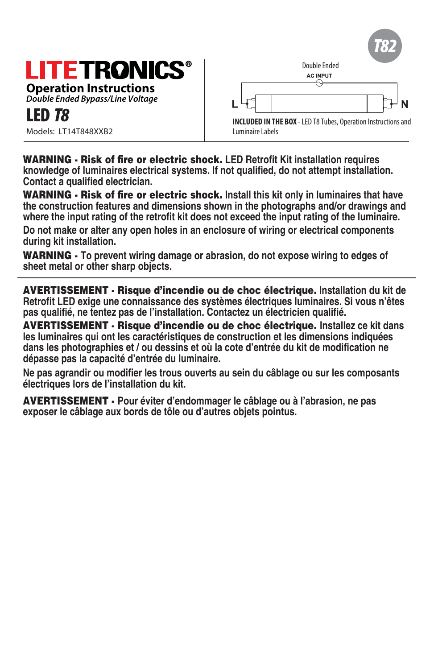# **LITETRONICS**

**Operation Instructions** *Double Ended Bypass/Line Voltage*

Models: LT14T848XXB2



WARNING - Risk of fire or electric shock. **LED Retrofit Kit installation requires knowledge of luminaires electrical systems. If not qualified, do not attempt installation. Contact a qualified electrician.**

WARNING - Risk of fire or electric shock. **Install this kit only in luminaires that have the construction features and dimensions shown in the photographs and/or drawings and where the input rating of the retrofit kit does not exceed the input rating of the luminaire.**

**Do not make or alter any open holes in an enclosure of wiring or electrical components during kit installation.**

WARNING - **To prevent wiring damage or abrasion, do not expose wiring to edges of sheet metal or other sharp objects.**

AVERTISSEMENT - Risque d'incendie ou de choc électrique. **Installation du kit de Retrofit LED exige une connaissance des systèmes électriques luminaires. Si vous n'êtes pas qualifié, ne tentez pas de l'installation. Contactez un électricien qualifié.**

AVERTISSEMENT - Risque d'incendie ou de choc électrique. **Installez ce kit dans les luminaires qui ont les caractéristiques de construction et les dimensions indiquées dans les photographies et / ou dessins et où la cote d'entrée du kit de modification ne dépasse pas la capacité d'entrée du luminaire.**

**Ne pas agrandir ou modifier les trous ouverts au sein du câblage ou sur les composants électriques lors de l'installation du kit.**

AVERTISSEMENT - **Pour éviter d'endommager le câblage ou à l'abrasion, ne pas exposer le câblage aux bords de tôle ou d'autres objets pointus.**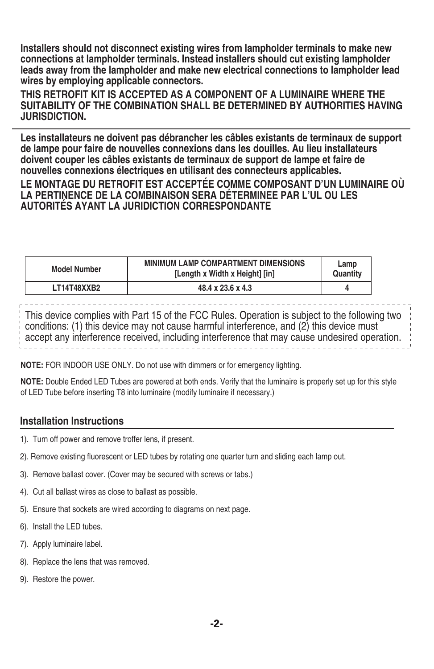**Installers should not disconnect existing wires from lampholder terminals to make new connections at lampholder terminals. Instead installers should cut existing lampholder leads away from the lampholder and make new electrical connections to lampholder lead wires by employing applicable connectors.**

**THIS RETROFIT KIT IS ACCEPTED AS A COMPONENT OF A LUMINAIRE WHERE THE SUITABILITY OF THE COMBINATION SHALL BE DETERMINED BY AUTHORITIES HAVING JURISDICTION.**

**Les installateurs ne doivent pas débrancher les câbles existants de terminaux de support de lampe pour faire de nouvelles connexions dans les douilles. Au lieu installateurs doivent couper les câbles existants de terminaux de support de lampe et faire de nouvelles connexions électriques en utilisant des connecteurs applicables. LE MONTAGE DU RETROFIT EST ACCEPTÉE COMME COMPOSANT D'UN LUMINAIRE OÙ LA PERTINENCE DE LA COMBINAISON SERA DÉTERMINEE PAR L'UL OU LES AUTORITÉS AYANT LA JURIDICTION CORRESPONDANTE**

| <b>Model Number</b> | <b>MINIMUM LAMP COMPARTMENT DIMENSIONS</b><br>[Length x Width x Height] [in] | Lamp<br>Quantity |
|---------------------|------------------------------------------------------------------------------|------------------|
| LT14T48XXB2         | 48.4 x 23.6 x 4.3                                                            |                  |

This device complies with Part 15 of the FCC Rules. Operation is subject to the following two conditions: (1) this device may not cause harmful interference, and (2) this device must accept any interference received, including interference that may cause undesired operation.

**NOTE:** FOR INDOOR USE ONLY. Do not use with dimmers or for emergency lighting.

**NOTE:** Double Ended LED Tubes are powered at both ends. Verify that the luminaire is properly set up for this style of LED Tube before inserting T8 into luminaire (modify luminaire if necessary.)

### **Installation Instructions**

- 1). Turn off power and remove troffer lens, if present.
- 2). Remove existing fluorescent or LED tubes by rotating one quarter turn and sliding each lamp out.
- 3). Remove ballast cover. (Cover may be secured with screws or tabs.)
- 4). Cut all ballast wires as close to ballast as possible.
- 5). Ensure that sockets are wired according to diagrams on next page.
- 6). Install the LED tubes.
- 7). Apply luminaire label.
- 8). Replace the lens that was removed.
- 9). Restore the power.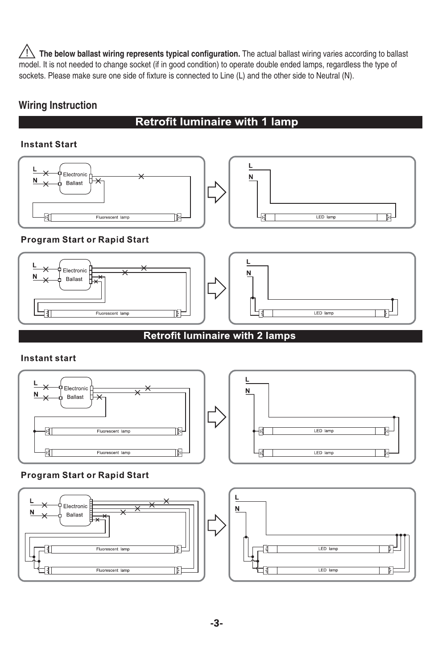$\sqrt{!}$  The below ballast wiring represents typical configuration. The actual ballast wiring varies according to ballast model. It is not needed to change socket (if in good condition) to operate double ended lamps, regardless the type of sockets. Please make sure one side of fixture is connected to Line (L) and the other side to Neutral (N).

# **Wiring Instruction**

## **Retrofit luminaire with 1 lamp**

#### **Instant Start**



### **Program Start or Rapid Start**



# **Retrofit luminaire with 2 lamps**

### **Instant start**



### **Program Start or Rapid Start**